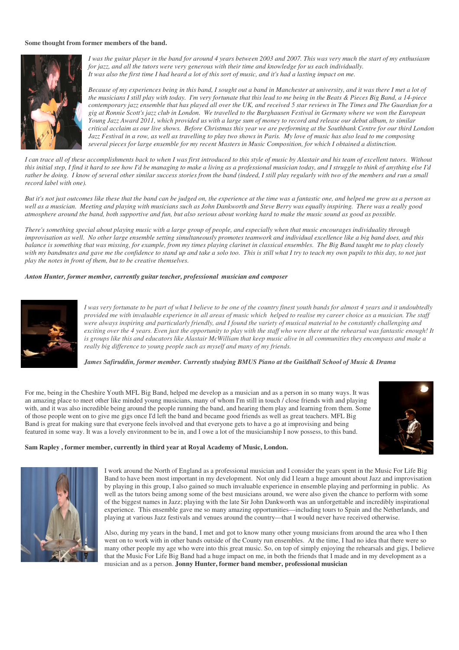## **Some thought from former members of the band.**



*I was the guitar player in the band for around 4 years between 2003 and 2007. This was very much the start of my enthusiasm for jazz, and all the tutors were very generous with their time and knowledge for us each individually. It was also the first time I had heard a lot of this sort of music, and it's had a lasting impact on me.* 

*Because of my experiences being in this band, I sought out a band in Manchester at university, and it was there I met a lot of the musicians I still play with today. I'm very fortunate that this lead to me being in the Beats & Pieces Big Band, a 14-piece contemporary jazz ensemble that has played all over the UK, and received 5 star reviews in The Times and The Guardian for a gig at Ronnie Scott's jazz club in London. We travelled to the Burghausen Festival in Germany where we won the European Young Jazz Award 2011, which provided us with a large sum of money to record and release our debut album, to similar critical acclaim as our live shows. Before Christmas this year we are performing at the Southbank Centre for our third London Jazz Festival in a row, as well as travelling to play two shows in Paris. My love of music has also lead to me composing several pieces for large ensemble for my recent Masters in Music Composition, for which I obtained a distinction.* 

*I can trace all of these accomplishments back to when I was first introduced to this style of music by Alastair and his team of excellent tutors. Without this initial step, I find it hard to see how I'd be managing to make a living as a professional musician today, and I struggle to think of anything else I'd rather be doing. I know of several other similar success stories from the band (indeed, I still play regularly with two of the members and run a small record label with one).* 

*But it's not just outcomes like these that the band can be judged on, the experience at the time was a fantastic one, and helped me grow as a person as well as a musician. Meeting and playing with musicians such as John Dankworth and Steve Berry was equally inspiring. There was a really good atmosphere around the band, both supportive and fun, but also serious about working hard to make the music sound as good as possible.* 

*There's something special about playing music with a large group of people, and especially when that music encourages individuality through improvisation as well. No other large ensemble setting simultaneously promotes teamwork and individual excellence like a big band does, and this balance is something that was missing, for example, from my times playing clarinet in classical ensembles. The Big Band taught me to play closely with my bandmates and gave me the confidence to stand up and take a solo too. This is still what I try to teach my own pupils to this day, to not just play the notes in front of them, but to be creative themselves.* 

## *Anton Hunter, former member, currently guitar teacher, professional musician and composer*



*I was very fortunate to be part of what I believe to be one of the country finest youth bands for almost 4 years and it undoubtedly provided me with invaluable experience in all areas of music which helped to realise my career choice as a musician. The staff were always inspiring and particularly friendly, and I found the variety of musical material to be constantly challenging and exciting over the 4 years. Even just the opportunity to play with the staff who were there at the rehearsal was fantastic enough! It is groups like this and educators like Alastair McWilliam that keep music alive in all communities they encompass and make a really big difference to young people such as myself and many of my friends.* 

*James Safiruddin, former member. Currently studying BMUS Piano at the Guildhall School of Music & Drama*

For me, being in the Cheshire Youth MFL Big Band, helped me develop as a musician and as a person in so many ways. It was an amazing place to meet other like minded young musicians, many of whom I'm still in touch / close friends with and playing with, and it was also incredible being around the people running the band, and hearing them play and learning from them. Some of those people went on to give me gigs once I'd left the band and became good friends as well as great teachers. MFL Big Band is great for making sure that everyone feels involved and that everyone gets to have a go at improvising and being featured in some way. It was a lovely environment to be in, and I owe a lot of the musicianship I now possess, to this band.



## **Sam Rapley , former member, currently in third year at Royal Academy of Music, London.**



I work around the North of England as a professional musician and I consider the years spent in the Music For Life Big Band to have been most important in my development. Not only did I learn a huge amount about Jazz and improvisation by playing in this group, I also gained so much invaluable experience in ensemble playing and performing in public. As well as the tutors being among some of the best musicians around, we were also given the chance to perform with some of the biggest names in Jazz; playing with the late Sir John Dankworth was an unforgettable and incredibly inspirational experience. This ensemble gave me so many amazing opportunities—including tours to Spain and the Netherlands, and playing at various Jazz festivals and venues around the country—that I would never have received otherwise.

Also, during my years in the band, I met and got to know many other young musicians from around the area who I then went on to work with in other bands outside of the County run ensembles. At the time, I had no idea that there were so many other people my age who were into this great music. So, on top of simply enjoying the rehearsals and gigs, I believe that the Music For Life Big Band had a huge impact on me, in both the friends that I made and in my development as a musician and as a person. **Jonny Hunter, former band member, professional musician**